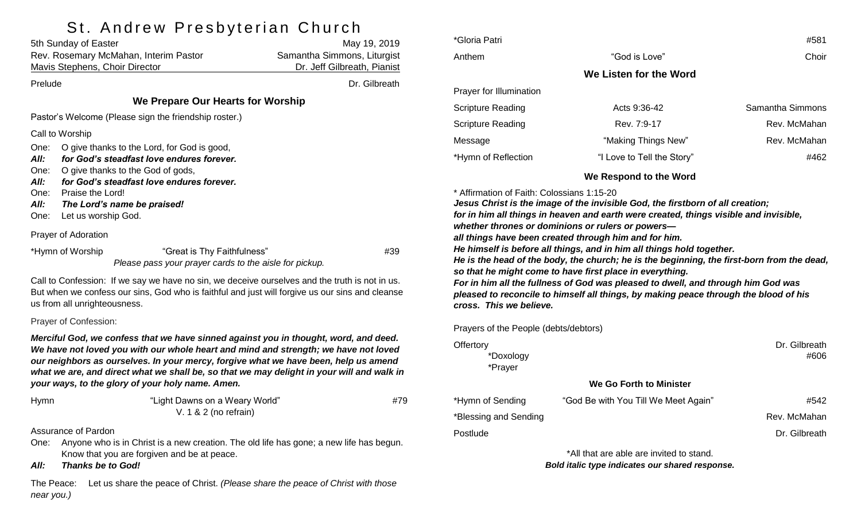# St Andrew Preshyterian Church

|                                                      | 5th Sunday of Easter                                                                                                                                                                                                                                                                                                                                                                                                | May 19, 2019                |
|------------------------------------------------------|---------------------------------------------------------------------------------------------------------------------------------------------------------------------------------------------------------------------------------------------------------------------------------------------------------------------------------------------------------------------------------------------------------------------|-----------------------------|
|                                                      | Rev. Rosemary McMahan, Interim Pastor                                                                                                                                                                                                                                                                                                                                                                               | Samantha Simmons, Liturgist |
|                                                      | Mavis Stephens, Choir Director                                                                                                                                                                                                                                                                                                                                                                                      | Dr. Jeff Gilbreath, Pianist |
| Prelude                                              |                                                                                                                                                                                                                                                                                                                                                                                                                     | Dr. Gilbreath               |
|                                                      | We Prepare Our Hearts for Worship                                                                                                                                                                                                                                                                                                                                                                                   |                             |
|                                                      | Pastor's Welcome (Please sign the friendship roster.)                                                                                                                                                                                                                                                                                                                                                               |                             |
|                                                      | Call to Worship                                                                                                                                                                                                                                                                                                                                                                                                     |                             |
| One:<br>All:<br>One:<br>All:<br>One:<br>All:<br>One: | O give thanks to the Lord, for God is good,<br>for God's steadfast love endures forever.<br>O give thanks to the God of gods,<br>for God's steadfast love endures forever.<br>Praise the Lord!<br>The Lord's name be praised!<br>Let us worship God.                                                                                                                                                                |                             |
|                                                      | Prayer of Adoration                                                                                                                                                                                                                                                                                                                                                                                                 |                             |
|                                                      | *Hymn of Worship<br>"Great is Thy Faithfulness"<br>Please pass your prayer cards to the aisle for pickup.                                                                                                                                                                                                                                                                                                           | #39                         |
|                                                      | Call to Confession: If we say we have no sin, we deceive ourselves and the truth is not in us.<br>But when we confess our sins, God who is faithful and just will forgive us our sins and cleanse<br>us from all unrighteousness.                                                                                                                                                                                   |                             |
|                                                      | Prayer of Confession:                                                                                                                                                                                                                                                                                                                                                                                               |                             |
|                                                      | Merciful God, we confess that we have sinned against you in thought, word, and deed.<br>We have not loved you with our whole heart and mind and strength; we have not loved<br>our neighbors as ourselves. In your mercy, forgive what we have been, help us amend<br>what we are, and direct what we shall be, so that we may delight in your will and walk in<br>your ways, to the glory of your holy name. Amen. |                             |
| Hymn                                                 | "Light Dawns on a Weary World"<br>V. 1 & 2 (no refrain)                                                                                                                                                                                                                                                                                                                                                             | #79                         |
|                                                      | <b>Assurance of Pardon</b>                                                                                                                                                                                                                                                                                                                                                                                          |                             |
| One:                                                 | Anyone who is in Christ is a new creation. The old life has gone; a new life has begun.<br>Know that you are forgiven and be at peace.                                                                                                                                                                                                                                                                              |                             |

*All: Thanks be to God!*

The Peace: Let us share the peace of Christ. *(Please share the peace of Christ with those near you.)*

| *Gloria Patri            |                            | #581             |  |  |
|--------------------------|----------------------------|------------------|--|--|
| Anthem                   | "God is Love"              | Choir            |  |  |
| We Listen for the Word   |                            |                  |  |  |
| Prayer for Illumination  |                            |                  |  |  |
| <b>Scripture Reading</b> | Acts $9:36-42$             | Samantha Simmons |  |  |
| <b>Scripture Reading</b> | Rev. 7:9-17                | Rev. McMahan     |  |  |
| Message                  | "Making Things New"        | Rev. McMahan     |  |  |
| *Hymn of Reflection      | "I Love to Tell the Story" | #462             |  |  |
|                          |                            |                  |  |  |

**We Respond to the Word**

\* Affirmation of Faith: Colossians 1:15-20

*Jesus Christ is the image of the invisible God, the firstborn of all creation; for in him all things in heaven and earth were created, things visible and invisible, whether thrones or dominions or rulers or powers all things have been created through him and for him. He himself is before all things, and in him all things hold together. He is the head of the body, the church; he is the beginning, the first-born from the dead, so that he might come to have first place in everything. For in him all the fullness of God was pleased to dwell, and through him God was pleased to reconcile to himself all things, by making peace through the blood of his cross. This we believe.*

Prayers of the People (debts/debtors)

| Offertory<br>*Doxology<br>*Prayer |                                          | Dr. Gilbreath<br>#606 |
|-----------------------------------|------------------------------------------|-----------------------|
|                                   | We Go Forth to Minister                  |                       |
| *Hymn of Sending                  | "God Be with You Till We Meet Again"     | #542                  |
| *Blessing and Sending             |                                          | Rev. McMahan          |
| Postlude                          |                                          | Dr. Gilbreath         |
|                                   | *All that are able are invited to stand. |                       |

*Bold italic type indicates our shared response.*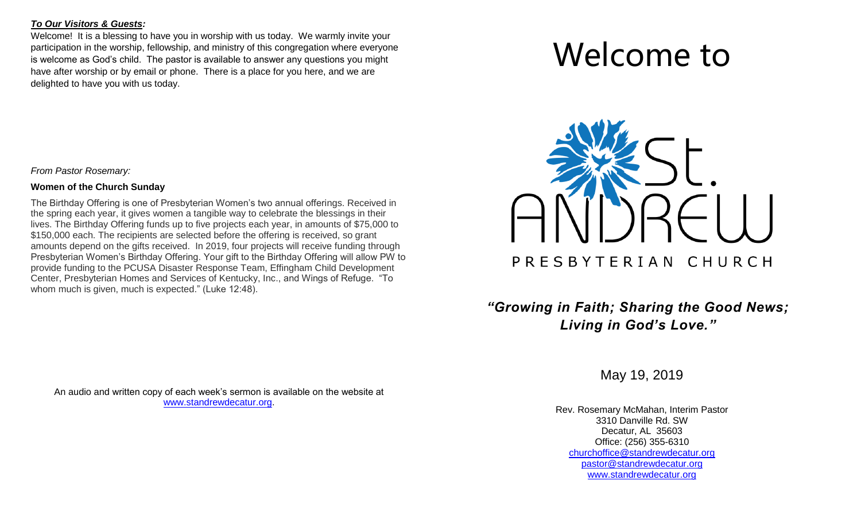### *To Our Visitors & Guests:*

Welcome! It is a blessing to have you in worship with us today. We warmly invite your participation in the worship, fellowship, and ministry of this congregation where everyone is welcome as God's child. The pastor is available to answer any questions you might have after worship or by email or phone. There is a place for you here, and we are delighted to have you with us today.

*From Pastor Rosemary:*

#### **Women of the Church Sunday**

The Birthday Offering is one of Presbyterian Women's two annual offerings. Received in the spring each year, it gives women a tangible way to celebrate the blessings in their lives. The Birthday Offering funds up to five projects each year, in amounts of \$75,000 to \$150,000 each. The recipients are selected before the offering is received, so grant amounts depend on the gifts received. In 2019, four projects will receive funding through Presbyterian Women's Birthday Offering. Your gift to the Birthday Offering will allow PW to provide funding to the PCUSA Disaster Response Team, Effingham Child Development Center, Presbyterian Homes and Services of Kentucky, Inc., and Wings of Refuge. "To whom much is given, much is expected." (Luke 12:48).

An audio and written copy of each week's sermon is available on the website at [www.standrewdecatur.org.](http://www.standrewdecatur.org/)

# Welcome to



## *"Growing in Faith; Sharing the Good News; Living in God's Love."*

May 19, 2019

Rev. Rosemary McMahan, Interim Pastor 3310 Danville Rd. SW Decatur, AL 35603 Office: (256) 355-6310 [churchoffice@standrewdecatur.org](mailto:churchoffice@standrewdecatur.org) pastor@standrewdecatur.org [www.standrewdecatur.org](http://www.standrewdecatur.org/)